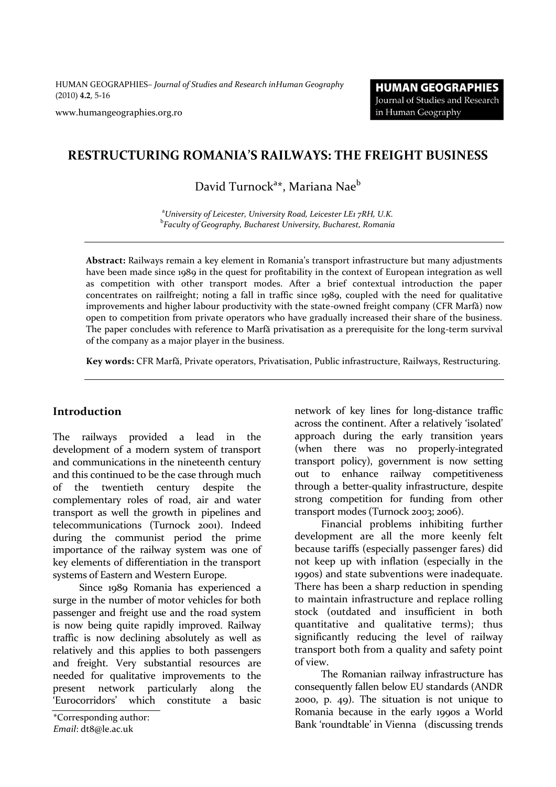HUMAN GEOGRAPHIES*– Journal of Studies and Research inHuman Geography* (2010) **4.2**, 5-16

www.humangeographies.org.ro

### **RESTRUCTURING ROMANIA'S RAILWAYS: THE FREIGHT BUSINESS**

# David Turnock<sup>a</sup>\*, Mariana Nae<sup>b</sup>

<sup>a</sup>*University of Leicester, University Road, Leicester LE1 7RH, U.K.* b *Faculty of Geography, Bucharest University, Bucharest, Romania*

**Abstract:** Railways remain a key element in Romania's transport infrastructure but many adjustments have been made since 1989 in the quest for profitability in the context of European integration as well as competition with other transport modes. After a brief contextual introduction the paper concentrates on railfreight; noting a fall in traffic since 1989, coupled with the need for qualitative improvements and higher labour productivity with the state-owned freight company (CFR Marfă) now open to competition from private operators who have gradually increased their share of the business. The paper concludes with reference to Marfă privatisation as a prerequisite for the long-term survival of the company as a major player in the business.

**Key words:** CFR Marfă, Private operators, Privatisation, Public infrastructure, Railways, Restructuring.

#### **Introduction**

The railways provided a lead in the development of a modern system of transport and communications in the nineteenth century and this continued to be the case through much of the twentieth century despite the complementary roles of road, air and water transport as well the growth in pipelines and telecommunications (Turnock 2001). Indeed during the communist period the prime importance of the railway system was one of key elements of differentiation in the transport systems of Eastern and Western Europe.

Since 1989 Romania has experienced a surge in the number of motor vehicles for both passenger and freight use and the road system is now being quite rapidly improved. Railway traffic is now declining absolutely as well as relatively and this applies to both passengers and freight. Very substantial resources are needed for qualitative improvements to the present network particularly along the 'Eurocorridors' which constitute a basic

*Email*: dt8@le.ac.uk

network of key lines for long-distance traffic across the continent. After a relatively 'isolated' approach during the early transition years (when there was no properly-integrated transport policy), government is now setting out to enhance railway competitiveness through a better-quality infrastructure, despite strong competition for funding from other transport modes (Turnock 2003; 2006).

Financial problems inhibiting further development are all the more keenly felt because tariffs (especially passenger fares) did not keep up with inflation (especially in the 1990s) and state subventions were inadequate. There has been a sharp reduction in spending to maintain infrastructure and replace rolling stock (outdated and insufficient in both quantitative and qualitative terms); thus significantly reducing the level of railway transport both from a quality and safety point of view.

The Romanian railway infrastructure has consequently fallen below EU standards (ANDR 2000, p. 49). The situation is not unique to Romania because in the early 1990s a World \*Corresponding author:<br>
Figure 1990s a World Bank 'roundtable' in Vienna (discussing trends \*Corresponding author: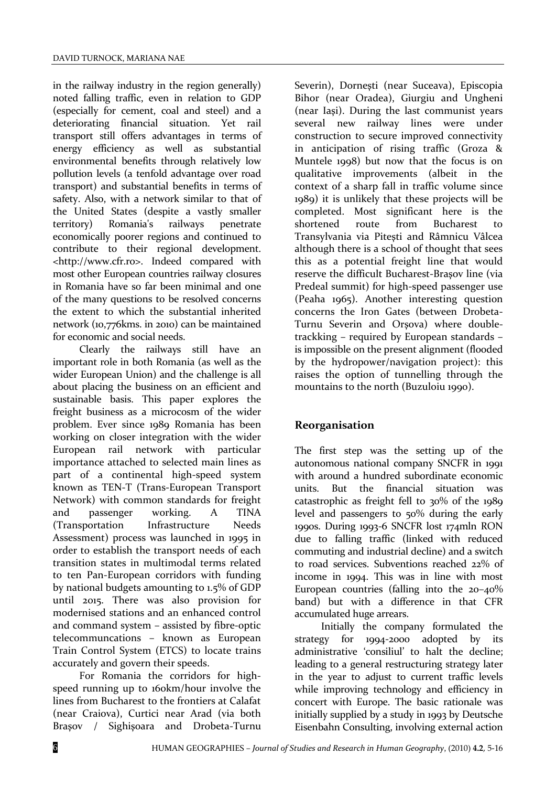in the railway industry in the region generally) noted falling traffic, even in relation to GDP (especially for cement, coal and steel) and a deteriorating financial situation. Yet rail transport still offers advantages in terms of energy efficiency as well as substantial environmental benefits through relatively low pollution levels (a tenfold advantage over road transport) and substantial benefits in terms of safety. Also, with a network similar to that of the United States (despite a vastly smaller territory) Romania's railways penetrate economically poorer regions and continued to contribute to their regional development. <http://www.cfr.ro>. Indeed compared with most other European countries railway closures in Romania have so far been minimal and one of the many questions to be resolved concerns the extent to which the substantial inherited network (10,776kms. in 2010) can be maintained for economic and social needs.

Clearly the railways still have an important role in both Romania (as well as the wider European Union) and the challenge is all about placing the business on an efficient and sustainable basis. This paper explores the freight business as a microcosm of the wider problem. Ever since 1989 Romania has been working on closer integration with the wider European rail network with particular importance attached to selected main lines as part of a continental high-speed system known as TEN-T (Trans-European Transport Network) with common standards for freight and passenger working. A TINA (Transportation Infrastructure Needs Assessment) process was launched in 1995 in order to establish the transport needs of each transition states in multimodal terms related to ten Pan-European corridors with funding by national budgets amounting to 1.5% of GDP until 2015. There was also provision for modernised stations and an enhanced control and command system – assisted by fibre-optic telecommuncations – known as European Train Control System (ETCS) to locate trains accurately and govern their speeds.

For Romania the corridors for highspeed running up to 160km/hour involve the lines from Bucharest to the frontiers at Calafat (near Craiova), Curtici near Arad (via both Braşov / Sighişoara and Drobeta-Turnu

Severin), Dorneşti (near Suceava), Episcopia Bihor (near Oradea), Giurgiu and Ungheni (near Iaşi). During the last communist years several new railway lines were under construction to secure improved connectivity in anticipation of rising traffic (Groza & Muntele 1998) but now that the focus is on qualitative improvements (albeit in the context of a sharp fall in traffic volume since 1989) it is unlikely that these projects will be completed. Most significant here is the shortened route from Bucharest to Transylvania via Piteşti and Râmnicu Vâlcea although there is a school of thought that sees this as a potential freight line that would reserve the difficult Bucharest-Braşov line (via Predeal summit) for high-speed passenger use (Peaha 1965). Another interesting question concerns the Iron Gates (between Drobeta-Turnu Severin and Orşova) where doubletrackking – required by European standards – is impossible on the present alignment (flooded by the hydropower/navigation project): this raises the option of tunnelling through the mountains to the north (Buzuloiu 1990).

# **Reorganisation**

The first step was the setting up of the autonomous national company SNCFR in 1991 with around a hundred subordinate economic units. But the financial situation was catastrophic as freight fell to 30% of the 1989 level and passengers to 50% during the early 1990s. During 1993-6 SNCFR lost 174mln RON due to falling traffic (linked with reduced commuting and industrial decline) and a switch to road services. Subventions reached 22% of income in 1994. This was in line with most European countries (falling into the 20–40% band) but with a difference in that CFR accumulated huge arrears.

Initially the company formulated the strategy for 1994-2000 adopted by its administrative 'consiliul' to halt the decline; leading to a general restructuring strategy later in the year to adjust to current traffic levels while improving technology and efficiency in concert with Europe. The basic rationale was initially supplied by a study in 1993 by Deutsche Eisenbahn Consulting, involving external action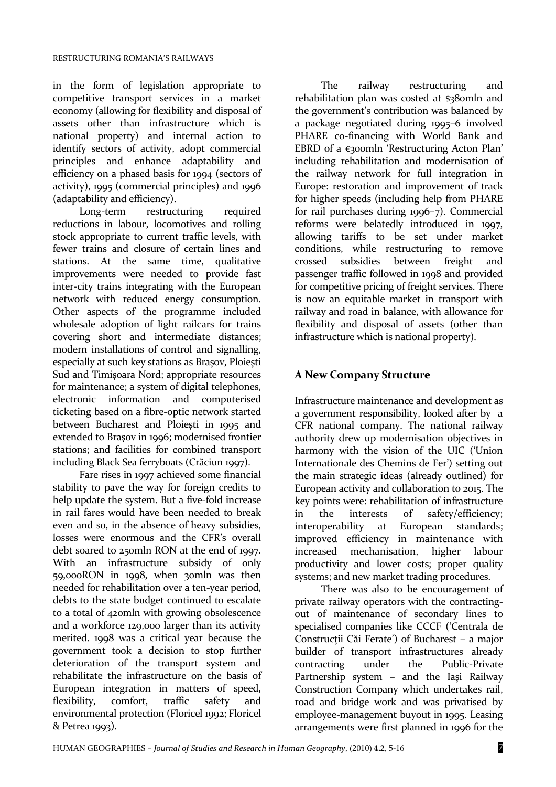in the form of legislation appropriate to competitive transport services in a market economy (allowing for flexibility and disposal of assets other than infrastructure which is national property) and internal action to identify sectors of activity, adopt commercial principles and enhance adaptability and efficiency on a phased basis for 1994 (sectors of activity), 1995 (commercial principles) and 1996

(adaptability and efficiency).<br>Long-term restruc restructuring required reductions in labour, locomotives and rolling stock appropriate to current traffic levels, with fewer trains and closure of certain lines and stations. At the same time, qualitative improvements were needed to provide fast inter-city trains integrating with the European network with reduced energy consumption. Other aspects of the programme included wholesale adoption of light railcars for trains covering short and intermediate distances; modern installations of control and signalling, especially at such key stations as Braşov, Ploieşti Sud and Timişoara Nord; appropriate resources for maintenance; a system of digital telephones, electronic information and computerised ticketing based on a fibre-optic network started between Bucharest and Ploieşti in 1995 and extended to Braşov in 1996; modernised frontier stations; and facilities for combined transport including Black Sea ferryboats (Crăciun 1997).

Fare rises in 1997 achieved some financial stability to pave the way for foreign credits to help update the system. But a five-fold increase in rail fares would have been needed to break even and so, in the absence of heavy subsidies, losses were enormous and the CFR's overall debt soared to 250mln RON at the end of 1997. With an infrastructure subsidy of only 59,000RON in 1998, when 30mln was then needed for rehabilitation over a ten-year period, debts to the state budget continued to escalate to a total of 420mln with growing obsolescence and a workforce 129,000 larger than its activity merited. 1998 was a critical year because the government took a decision to stop further deterioration of the transport system and rehabilitate the infrastructure on the basis of European integration in matters of speed, flexibility, comfort, traffic safety and environmental protection (Floricel 1992; Floricel & Petrea 1993).

The railway restructuring and rehabilitation plan was costed at \$380mln and the government's contribution was balanced by a package negotiated during 1995–6 involved PHARE co-financing with World Bank and EBRD of a €300mln 'Restructuring Acton Plan' including rehabilitation and modernisation of the railway network for full integration in Europe: restoration and improvement of track for higher speeds (including help from PHARE for rail purchases during 1996–7). Commercial reforms were belatedly introduced in 1997, allowing tariffs to be set under market conditions, while restructuring to remove crossed subsidies between freight and passenger traffic followed in 1998 and provided for competitive pricing of freight services. There is now an equitable market in transport with railway and road in balance, with allowance for flexibility and disposal of assets (other than infrastructure which is national property).

### **A New Company Structure**

Infrastructure maintenance and development as a government responsibility, looked after by a CFR national company. The national railway authority drew up modernisation objectives in harmony with the vision of the UIC ('Union Internationale des Chemins de Fer') setting out the main strategic ideas (already outlined) for European activity and collaboration to 2015. The key points were: rehabilitation of infrastructure in the interests of safety/efficiency; interoperability at European standards; improved efficiency in maintenance with increased mechanisation, higher labour productivity and lower costs; proper quality systems; and new market trading procedures.

There was also to be encouragement of private railway operators with the contractingout of maintenance of secondary lines to specialised companies like CCCF ('Centrala de Construcţii Căi Ferate') of Bucharest – a major builder of transport infrastructures already contracting under the Public-Private Partnership system – and the Iaşi Railway Construction Company which undertakes rail, road and bridge work and was privatised by employee-management buyout in 1995. Leasing arrangements were first planned in 1996 for the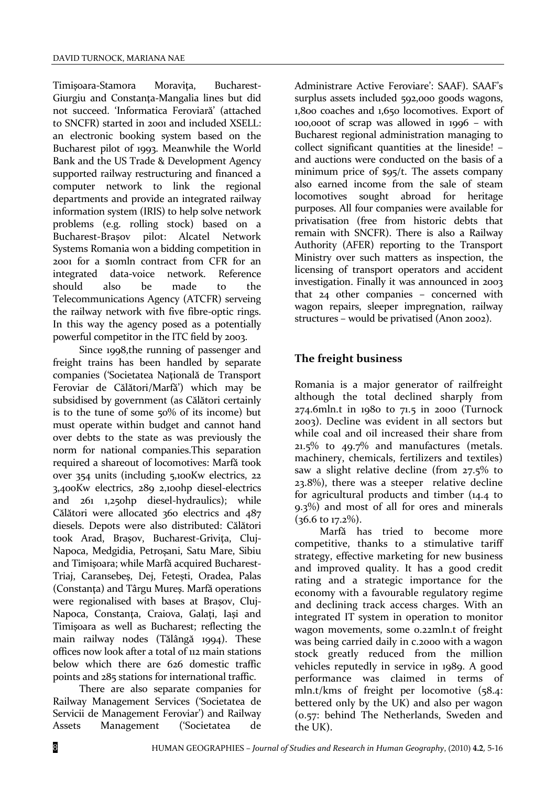Timişoara-Stamora Moraviţa, Bucharest-Giurgiu and Constanţa-Mangalia lines but did not succeed. 'Informatica Feroviară' (attached to SNCFR) started in 2001 and included XSELL: an electronic booking system based on the Bucharest pilot of 1993. Meanwhile the World Bank and the US Trade & Development Agency supported railway restructuring and financed a computer network to link the regional departments and provide an integrated railway information system (IRIS) to help solve network problems (e.g. rolling stock) based on a Bucharest-Braşov pilot: Alcatel Network Systems Romania won a bidding competition in 2001 for a \$10mln contract from CFR for an integrated data-voice network. Reference should also be made to the Telecommunications Agency (ATCFR) serveing the railway network with five fibre-optic rings. In this way the agency posed as a potentially powerful competitor in the ITC field by 2003.

Since 1998,the running of passenger and freight trains has been handled by separate companies ('Societatea Naţională de Transport Feroviar de Călători/Marfă') which may be subsidised by government (as Călători certainly is to the tune of some 50% of its income) but must operate within budget and cannot hand over debts to the state as was previously the norm for national companies.This separation required a shareout of locomotives: Marfă took over 354 units (including 5,100Kw electrics, 22 3,400Kw electrics, 289 2,100hp diesel-electrics and 261 1,250hp diesel-hydraulics); while Călători were allocated 360 electrics and 487 diesels. Depots were also distributed: Călători took Arad, Braşov, Bucharest-Griviţa, Cluj-Napoca, Medgidia, Petroşani, Satu Mare, Sibiu and Timişoara; while Marfă acquired Bucharest-Triaj, Caransebeş, Dej, Feteşti, Oradea, Palas (Constanţa) and Târgu Mureş. Marfă operations were regionalised with bases at Braşov, Cluj-Napoca, Constanţa, Craiova, Galaţi, Iaşi and Timişoara as well as Bucharest; reflecting the main railway nodes (Tălângă 1994). These offices now look after a total of 112 main stations below which there are 626 domestic traffic points and 285 stations for international traffic.

There are also separate companies for Railway Management Services ('Societatea de Servicii de Management Feroviar') and Railway Assets Management ('Societatea de

Administrare Active Feroviare': SAAF). SAAF's surplus assets included 592,000 goods wagons, 1,800 coaches and 1,650 locomotives. Export of 100,000t of scrap was allowed in 1996 – with Bucharest regional administration managing to collect significant quantities at the lineside! – and auctions were conducted on the basis of a minimum price of \$95/t. The assets company also earned income from the sale of steam locomotives sought abroad for heritage purposes. All four companies were available for privatisation (free from historic debts that remain with SNCFR). There is also a Railway Authority (AFER) reporting to the Transport Ministry over such matters as inspection, the licensing of transport operators and accident investigation. Finally it was announced in 2003 that 24 other companies – concerned with wagon repairs, sleeper impregnation, railway structures – would be privatised (Anon 2002).

# **The freight business**

Romania is a major generator of railfreight although the total declined sharply from 274.6mln.t in 1980 to 71.5 in 2000 (Turnock 2003). Decline was evident in all sectors but while coal and oil increased their share from 21.5% to 49.7% and manufactures (metals. machinery, chemicals, fertilizers and textiles) saw a slight relative decline (from 27.5% to 23.8%), there was a steeper relative decline for agricultural products and timber (14.4 to 9.3%) and most of all for ores and minerals  $(36.6 \text{ to } 17.2\%)$ .

Marfă has tried to become more competitive, thanks to a stimulative tariff strategy, effective marketing for new business and improved quality. It has a good credit rating and a strategic importance for the economy with a favourable regulatory regime and declining track access charges. With an integrated IT system in operation to monitor wagon movements, some 0.22mln.t of freight was being carried daily in c.2000 with a wagon stock greatly reduced from the million vehicles reputedly in service in 1989. A good performance was claimed in terms of mln.t/kms of freight per locomotive (58.4: bettered only by the UK) and also per wagon (0.57: behind The Netherlands, Sweden and the UK).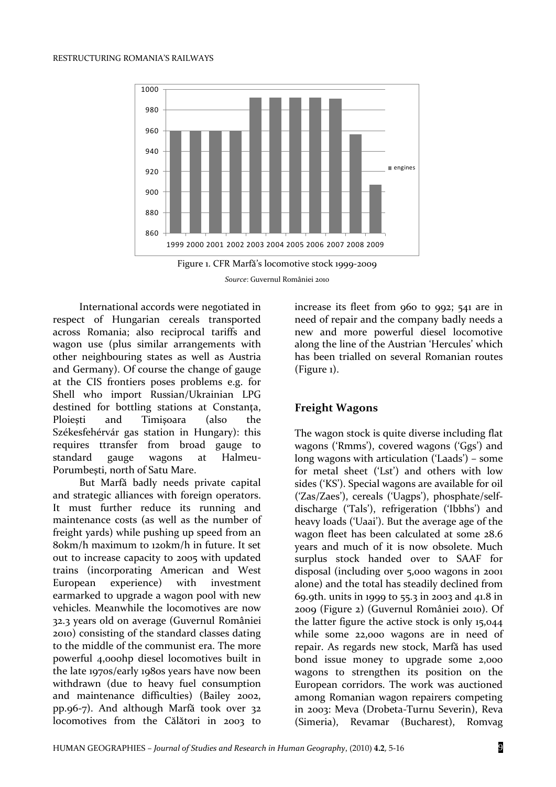



International accords were negotiated in respect of Hungarian cereals transported across Romania; also reciprocal tariffs and wagon use (plus similar arrangements with other neighbouring states as well as Austria and Germany). Of course the change of gauge at the CIS frontiers poses problems e.g. for Shell who import Russian/Ukrainian LPG destined for bottling stations at Constanţa, Ploiesti and Timisoara (also the Székesfehérvár gas station in Hungary): this requires ttransfer from broad gauge to standard gauge wagons at Halmeu-Porumbeşti, north of Satu Mare.

But Marfă badly needs private capital and strategic alliances with foreign operators. It must further reduce its running and maintenance costs (as well as the number of freight yards) while pushing up speed from an 80km/h maximum to 120km/h in future. It set out to increase capacity to 2005 with updated trains (incorporating American and West European experience) with investment earmarked to upgrade a wagon pool with new vehicles. Meanwhile the locomotives are now 32.3 years old on average (Guvernul României 2010) consisting of the standard classes dating to the middle of the communist era. The more powerful 4,000hp diesel locomotives built in the late 1970s/early 1980s years have now been withdrawn (due to heavy fuel consumption and maintenance difficulties) (Bailey 2002, pp.96-7). And although Marfă took over 32 locomotives from the Călători in 2003 to

increase its fleet from 960 to 992; 541 are in need of repair and the company badly needs a new and more powerful diesel locomotive along the line of the Austrian 'Hercules' which has been trialled on several Romanian routes (Figure 1).

#### **Freight Wagons**

The wagon stock is quite diverse including flat wagons ('Rmms'), covered wagons ('Ggs') and long wagons with articulation ('Laads') – some for metal sheet ('Lst') and others with low sides ('KS'). Special wagons are available for oil ('Zas/Zaes'), cereals ('Uagps'), phosphate/selfdischarge ('Tals'), refrigeration ('Ibbhs') and heavy loads ('Uaai'). But the average age of the wagon fleet has been calculated at some 28.6 years and much of it is now obsolete. Much surplus stock handed over to SAAF for disposal (including over 5,000 wagons in 2001 alone) and the total has steadily declined from 69.9th. units in 1999 to 55.3 in 2003 and 41.8 in 2009 (Figure 2) (Guvernul României 2010). Of the latter figure the active stock is only 15,044 while some 22,000 wagons are in need of repair. As regards new stock, Marfă has used bond issue money to upgrade some 2,000 wagons to strengthen its position on the European corridors. The work was auctioned among Romanian wagon repairers competing in 2003: Meva (Drobeta-Turnu Severin), Reva (Simeria), Revamar (Bucharest), Romvag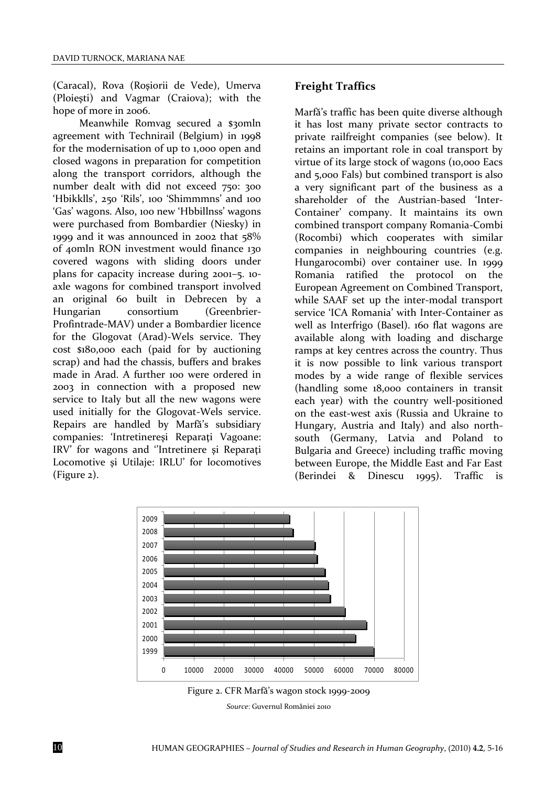(Caracal), Rova (Roşiorii de Vede), Umerva (Ploieşti) and Vagmar (Craiova); with the hope of more in 2006.

Meanwhile Romvag secured a \$30mln agreement with Technirail (Belgium) in 1998 for the modernisation of up to 1,000 open and closed wagons in preparation for competition along the transport corridors, although the number dealt with did not exceed 750: 300 'Hbikklls', 250 'Rils', 100 'Shimmmns' and 100 'Gas' wagons. Also, 100 new 'Hbbillnss' wagons were purchased from Bombardier (Niesky) in 1999 and it was announced in 2002 that 58% of 40mln RON investment would finance 130 covered wagons with sliding doors under plans for capacity increase during 2001–5. 10 axle wagons for combined transport involved an original 60 built in Debrecen by a Hungarian consortium (Greenbrier-Profintrade-MAV) under a Bombardier licence for the Glogovat (Arad)-Wels service. They cost \$180,000 each (paid for by auctioning scrap) and had the chassis, buffers and brakes made in Arad. A further 100 were ordered in 2003 in connection with a proposed new service to Italy but all the new wagons were used initially for the Glogovat-Wels service. Repairs are handled by Marfă's subsidiary companies: 'Intretinereşi Reparaţi Vagoane: IRV' for wagons and ''Intretinere şi Reparaţi Locomotive şi Utilaje: IRLU' for locomotives (Figure 2).

#### **Freight Traffics**

Marfă's traffic has been quite diverse although it has lost many private sector contracts to private railfreight companies (see below). It retains an important role in coal transport by virtue of its large stock of wagons (10,000 Eacs and 5,000 Fals) but combined transport is also a very significant part of the business as a shareholder of the Austrian-based 'Inter-Container' company. It maintains its own combined transport company Romania-Combi (Rocombi) which cooperates with similar companies in neighbouring countries (e.g. Hungarocombi) over container use. In 1999<br>Romania ratified the protocol on the Romania ratified the European Agreement on Combined Transport, while SAAF set up the inter-modal transport service 'ICA Romania' with Inter-Container as well as Interfrigo (Basel). 160 flat wagons are available along with loading and discharge ramps at key centres across the country. Thus it is now possible to link various transport modes by a wide range of flexible services (handling some 18,000 containers in transit each year) with the country well-positioned on the east-west axis (Russia and Ukraine to Hungary, Austria and Italy) and also northsouth (Germany, Latvia and Poland to Bulgaria and Greece) including traffic moving between Europe, the Middle East and Far East (Berindei & Dinescu 1995). Traffic is



Figure 2. CFR Marfă's wagon stock 1999-2009

*Source*: Guvernul României 2010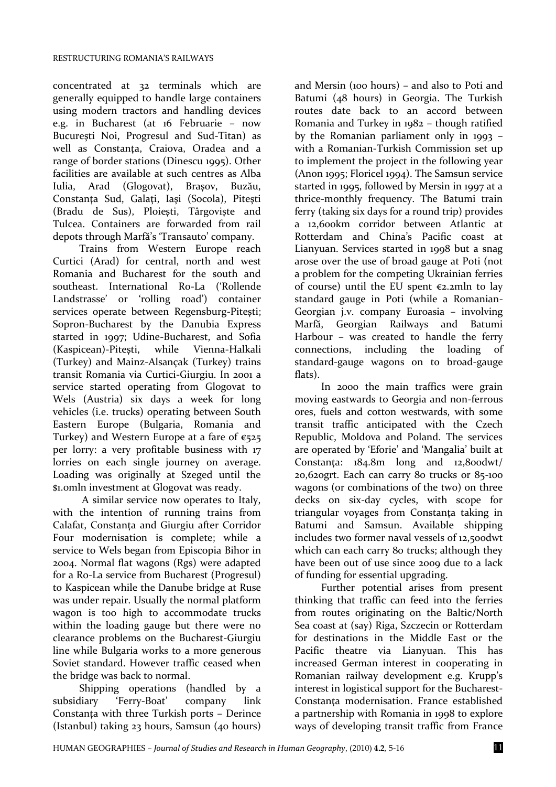concentrated at 32 terminals which are generally equipped to handle large containers using modern tractors and handling devices e.g. in Bucharest (at 16 Februarie – now Bucureşti Noi, Progresul and Sud-Titan) as well as Constanţa, Craiova, Oradea and a range of border stations (Dinescu 1995). Other facilities are available at such centres as Alba Iulia, Arad (Glogovat), Braşov, Buzău, Constanţa Sud, Galaţi, Iaşi (Socola), Piteşti (Bradu de Sus), Ploieşti, Târgovişte and Tulcea. Containers are forwarded from rail depots through Marfă's 'Transauto' company.

Trains from Western Europe reach Curtici (Arad) for central, north and west Romania and Bucharest for the south and southeast. International Ro-La ('Rollende Landstrasse' or 'rolling road') container services operate between Regensburg-Piteşti; Sopron-Bucharest by the Danubia Express started in 1997; Udine-Bucharest, and Sofia (Kaspicean)-Piteşti, while Vienna-Halkali (Turkey) and Mainz-Alsançak (Turkey) trains transit Romania via Curtici-Giurgiu. In 2001 a service started operating from Glogovat to Wels (Austria) six days a week for long vehicles (i.e. trucks) operating between South Eastern Europe (Bulgaria, Romania and Turkey) and Western Europe at a fare of  $\epsilon$ 525 per lorry: a very profitable business with 17 lorries on each single journey on average. Loading was originally at Szeged until the \$1.0mln investment at Glogovat was ready.

A similar service now operates to Italy, with the intention of running trains from Calafat, Constanţa and Giurgiu after Corridor Four modernisation is complete; while a service to Wels began from Episcopia Bihor in 2004. Normal flat wagons (Rgs) were adapted for a Ro-La service from Bucharest (Progresul) to Kaspicean while the Danube bridge at Ruse was under repair. Usually the normal platform wagon is too high to accommodate trucks within the loading gauge but there were no clearance problems on the Bucharest-Giurgiu line while Bulgaria works to a more generous Soviet standard. However traffic ceased when the bridge was back to normal.

Shipping operations (handled by a subsidiary 'Ferry-Boat' company link Constanţa with three Turkish ports – Derince (Istanbul) taking 23 hours, Samsun (40 hours)

and Mersin (100 hours) – and also to Poti and Batumi (48 hours) in Georgia. The Turkish routes date back to an accord between Romania and Turkey in 1982 – though ratified by the Romanian parliament only in 1993 – with a Romanian-Turkish Commission set up to implement the project in the following year (Anon 1995; Floricel 1994). The Samsun service started in 1995, followed by Mersin in 1997 at a thrice-monthly frequency. The Batumi train ferry (taking six days for a round trip) provides a 12,600km corridor between Atlantic at Rotterdam and China's Pacific coast at Lianyuan. Services started in 1998 but a snag arose over the use of broad gauge at Poti (not a problem for the competing Ukrainian ferries of course) until the EU spent  $\epsilon$ 2.2mln to lay standard gauge in Poti (while a Romanian-Georgian j.v. company Euroasia – involving<br>Marfă, Georgian Railways and Batumi Marfă, Georgian Railways and Batumi Harbour – was created to handle the ferry connections, including the loading of standard-gauge wagons on to broad-gauge flats).

In 2000 the main traffics were grain moving eastwards to Georgia and non-ferrous ores, fuels and cotton westwards, with some transit traffic anticipated with the Czech Republic, Moldova and Poland. The services are operated by 'Eforie' and 'Mangalia' built at Constanţa: 184.8m long and 12,800dwt/ 20,620grt. Each can carry 80 trucks or 85-100 wagons (or combinations of the two) on three decks on six-day cycles, with scope for triangular voyages from Constanţa taking in Batumi and Samsun. Available shipping includes two former naval vessels of 12,500dwt which can each carry 80 trucks; although they have been out of use since 2009 due to a lack of funding for essential upgrading.

Further potential arises from present thinking that traffic can feed into the ferries from routes originating on the Baltic/North Sea coast at (say) Riga, Szczecin or Rotterdam for destinations in the Middle East or the Pacific theatre via Lianyuan. This has increased German interest in cooperating in Romanian railway development e.g. Krupp's interest in logistical support for the Bucharest-Constanţa modernisation. France established a partnership with Romania in 1998 to explore ways of developing transit traffic from France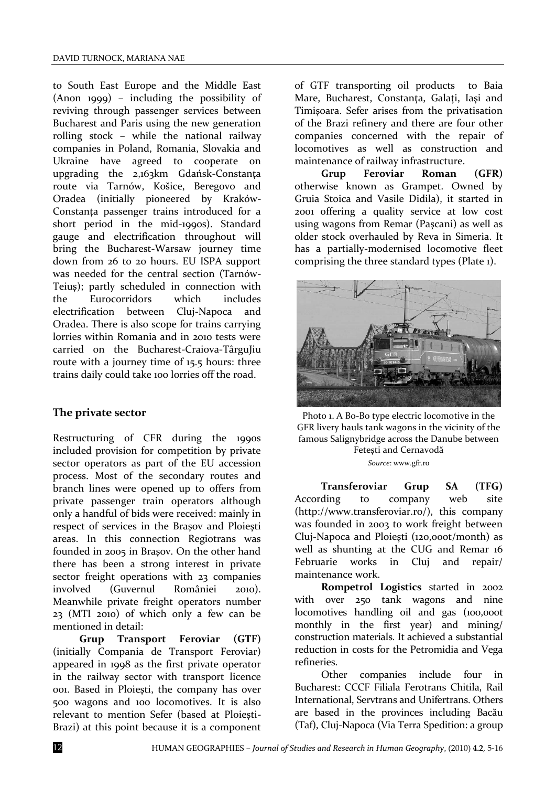to South East Europe and the Middle East (Anon 1999) – including the possibility of reviving through passenger services between Bucharest and Paris using the new generation rolling stock – while the national railway companies in Poland, Romania, Slovakia and Ukraine have agreed to cooperate on upgrading the 2,163km Gdańsk-Constanţa route via Tarnów, Košice, Beregovo and Oradea (initially pioneered by Kraków-Constanţa passenger trains introduced for a short period in the mid-1990s). Standard gauge and electrification throughout will bring the Bucharest-Warsaw journey time down from 26 to 20 hours. EU ISPA support was needed for the central section (Tarnów-Teiuş); partly scheduled in connection with the Eurocorridors which includes electrification between Cluj-Napoca and Oradea. There is also scope for trains carrying lorries within Romania and in 2010 tests were carried on the Bucharest-Craiova-TârguJiu route with a journey time of 15.5 hours: three trains daily could take 100 lorries off the road.

#### **The private sector**

Restructuring of CFR during the 1990s included provision for competition by private sector operators as part of the EU accession process. Most of the secondary routes and branch lines were opened up to offers from private passenger train operators although only a handful of bids were received: mainly in respect of services in the Braşov and Ploieşti areas. In this connection Regiotrans was founded in 2005 in Braşov. On the other hand there has been a strong interest in private sector freight operations with 23 companies involved (Guvernul României 2010). Meanwhile private freight operators number 23 (MTI 2010) of which only a few can be mentioned in detail:

**Grup Transport Feroviar (GTF)**  (initially Compania de Transport Feroviar) appeared in 1998 as the first private operator in the railway sector with transport licence 001. Based in Ploieşti, the company has over 500 wagons and 100 locomotives. It is also relevant to mention Sefer (based at Ploieşti-Brazi) at this point because it is a component

of GTF transporting oil products to Baia Mare, Bucharest, Constanța, Galați, Iași and Timişoara. Sefer arises from the privatisation of the Brazi refinery and there are four other companies concerned with the repair of locomotives as well as construction and maintenance of railway infrastructure.

**Grup Feroviar Roman (GFR)** otherwise known as Grampet. Owned by Gruia Stoica and Vasile Didila), it started in 2001 offering a quality service at low cost using wagons from Remar (Paşcani) as well as older stock overhauled by Reva in Simeria. It has a partially-modernised locomotive fleet comprising the three standard types (Plate 1).



Photo 1. A Bo-Bo type electric locomotive in the GFR livery hauls tank wagons in the vicinity of the famous Salignybridge across the Danube between Feteşti and Cernavodă *Source*[: www.gfr.ro](http://www.gfr.ro/)

**Transferoviar Grup SA (TFG)**  According to company web site [\(http://www.transferoviar.ro/\)](http://www.transferoviar.ro/), this company was founded in 2003 to work freight between Cluj-Napoca and Ploieşti (120,000t/month) as well as shunting at the CUG and Remar 16 Februarie works in Cluj and repair/ maintenance work.

**Rompetrol Logistics** started in 2002 with over 250 tank wagons and nine locomotives handling oil and gas (100,000t monthly in the first year) and mining/ construction materials. It achieved a substantial reduction in costs for the Petromidia and Vega refineries.

Other companies include four in Bucharest: CCCF Filiala Ferotrans Chitila, Rail International, Servtrans and Unifertrans. Others are based in the provinces including Bacău (Taf), Cluj-Napoca (Via Terra Spedition: a group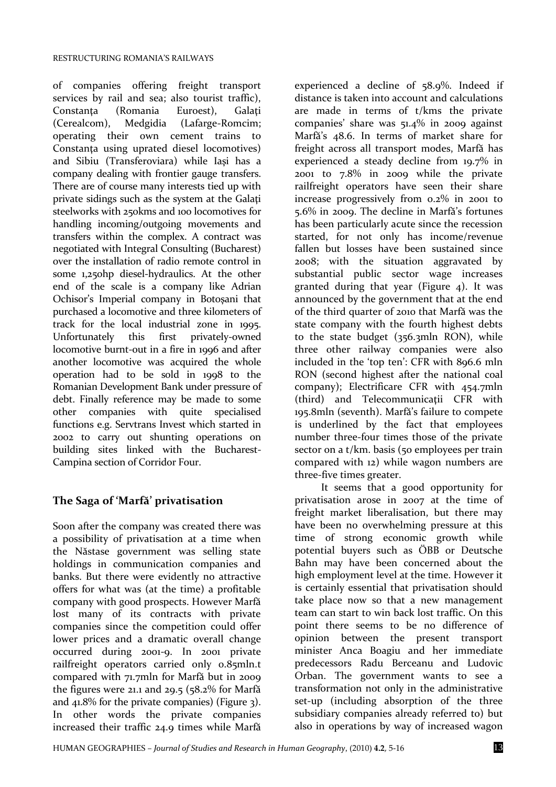of companies offering freight transport services by rail and sea; also tourist traffic), Constanta (Romania Euroest), Galati (Cerealcom), Medgidia (Lafarge-Romcim; operating their own cement trains to Constanţa using uprated diesel locomotives) and Sibiu (Transferoviara) while Iaşi has a company dealing with frontier gauge transfers. There are of course many interests tied up with private sidings such as the system at the Galaţi steelworks with 250kms and 100 locomotives for handling incoming/outgoing movements and transfers within the complex. A contract was negotiated with Integral Consulting (Bucharest) over the installation of radio remote control in some 1,250hp diesel-hydraulics. At the other end of the scale is a company like Adrian Ochisor's Imperial company in Botoşani that purchased a locomotive and three kilometers of track for the local industrial zone in 1995. Unfortunately this first privately-owned locomotive burnt-out in a fire in 1996 and after another locomotive was acquired the whole operation had to be sold in 1998 to the Romanian Development Bank under pressure of debt. Finally reference may be made to some other companies with quite specialised functions e.g. Servtrans Invest which started in 2002 to carry out shunting operations on building sites linked with the Bucharest-Campina section of Corridor Four.

# **The Saga of 'Marfă' privatisation**

Soon after the company was created there was a possibility of privatisation at a time when the Năstase government was selling state holdings in communication companies and banks. But there were evidently no attractive offers for what was (at the time) a profitable company with good prospects. However Marfă lost many of its contracts with private companies since the competition could offer lower prices and a dramatic overall change occurred during 2001-9. In 2001 private railfreight operators carried only 0.85mln.t compared with 71.7mln for Marfă but in 2009 the figures were 21.1 and 29.5 ( $58.2\%$  for Marfă and 41.8% for the private companies) (Figure 3). In other words the private companies increased their traffic 24.9 times while Marfă

experienced a decline of 58.9%. Indeed if distance is taken into account and calculations are made in terms of t/kms the private companies' share was 51.4% in 2009 against Marfă's 48.6. In terms of market share for freight across all transport modes, Marfă has experienced a steady decline from 19.7% in 2001 to 7.8% in 2009 while the private railfreight operators have seen their share increase progressively from 0.2% in 2001 to 5.6% in 2009. The decline in Marfă's fortunes has been particularly acute since the recession started, for not only has income/revenue fallen but losses have been sustained since 2008; with the situation aggravated by substantial public sector wage increases granted during that year (Figure 4). It was announced by the government that at the end of the third quarter of 2010 that Marfă was the state company with the fourth highest debts to the state budget (356.3mln RON), while three other railway companies were also included in the 'top ten': CFR with 896.6 mln RON (second highest after the national coal company); Electrificare CFR with 454.7mln (third) and Telecommunicaţii CFR with 195.8mln (seventh). Marfă's failure to compete is underlined by the fact that employees number three-four times those of the private sector on a t/km. basis (50 employees per train compared with 12) while wagon numbers are three-five times greater.

It seems that a good opportunity for privatisation arose in 2007 at the time of freight market liberalisation, but there may have been no overwhelming pressure at this time of strong economic growth while potential buyers such as ÖBB or Deutsche Bahn may have been concerned about the high employment level at the time. However it is certainly essential that privatisation should take place now so that a new management team can start to win back lost traffic. On this point there seems to be no difference of opinion between the present transport minister Anca Boagiu and her immediate predecessors Radu Berceanu and Ludovic Orban. The government wants to see a transformation not only in the administrative set-up (including absorption of the three subsidiary companies already referred to) but also in operations by way of increased wagon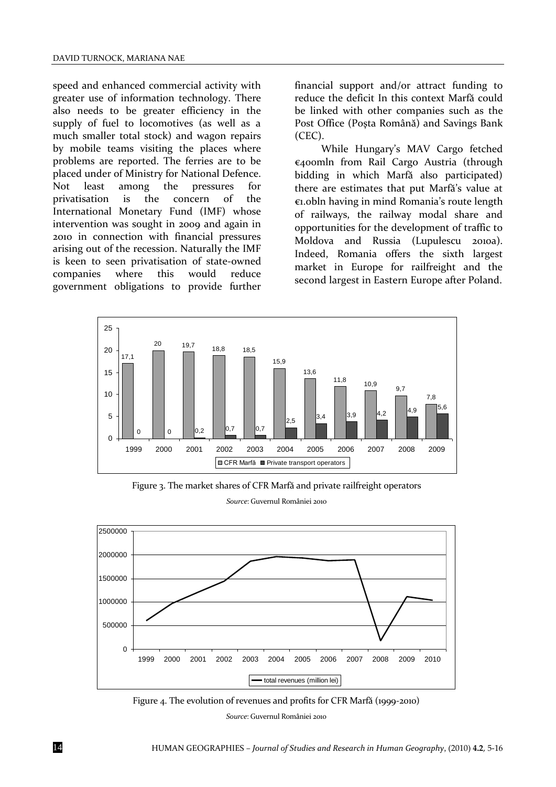speed and enhanced commercial activity with greater use of information technology. There also needs to be greater efficiency in the supply of fuel to locomotives (as well as a much smaller total stock) and wagon repairs by mobile teams visiting the places where problems are reported. The ferries are to be placed under of Ministry for National Defence. Not least among the pressures for<br>privatisation is the concern of the privatisation is the concern of the International Monetary Fund (IMF) whose intervention was sought in 2009 and again in 2010 in connection with financial pressures arising out of the recession. Naturally the IMF is keen to seen privatisation of state-owned companies where this would reduce government obligations to provide further

financial support and/or attract funding to reduce the deficit In this context Marfă could be linked with other companies such as the Post Office (Poşta Română) and Savings Bank (CEC).

While Hungary's MAV Cargo fetched €400mln from Rail Cargo Austria (through bidding in which Marfă also participated) there are estimates that put Marfă's value at €1.0bln having in mind Romania's route length of railways, the railway modal share and opportunities for the development of traffic to Moldova and Russia (Lupulescu 2010a). Indeed, Romania offers the sixth largest market in Europe for railfreight and the second largest in Eastern Europe after Poland.



Figure 3. The market shares of CFR Marfă and private railfreight operators

*Source*: Guvernul României 2010



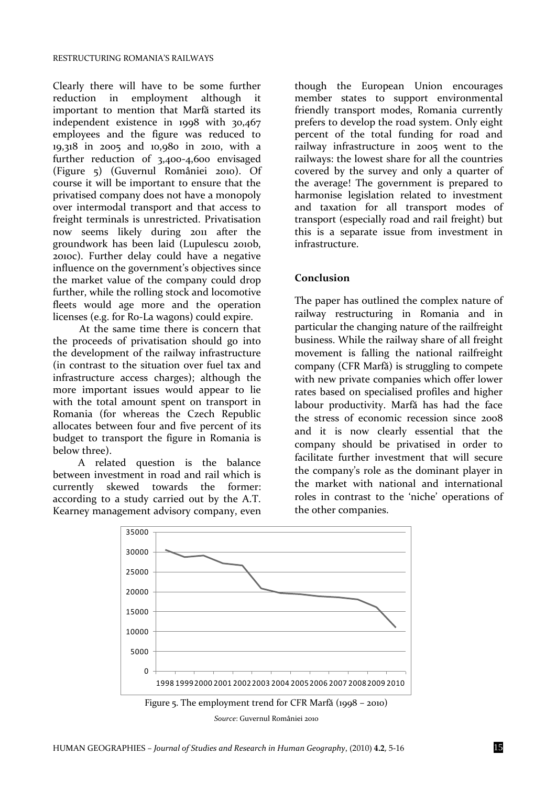Clearly there will have to be some further reduction in employment although it important to mention that Marfă started its independent existence in 1998 with 30,467 employees and the figure was reduced to 19,318 in 2005 and 10,980 in 2010, with a further reduction of 3,400-4,600 envisaged (Figure 5) (Guvernul României 2010). Of course it will be important to ensure that the privatised company does not have a monopoly over intermodal transport and that access to freight terminals is unrestricted. Privatisation now seems likely during 2011 after the groundwork has been laid (Lupulescu 2010b, 2010c). Further delay could have a negative influence on the government's objectives since the market value of the company could drop further, while the rolling stock and locomotive fleets would age more and the operation licenses (e.g. for Ro-La wagons) could expire.

At the same time there is concern that the proceeds of privatisation should go into the development of the railway infrastructure (in contrast to the situation over fuel tax and infrastructure access charges); although the more important issues would appear to lie with the total amount spent on transport in Romania (for whereas the Czech Republic allocates between four and five percent of its budget to transport the figure in Romania is below three).

A related question is the balance between investment in road and rail which is currently skewed towards the former: according to a study carried out by the A.T. Kearney management advisory company, even though the European Union encourages member states to support environmental friendly transport modes, Romania currently prefers to develop the road system. Only eight percent of the total funding for road and railway infrastructure in 2005 went to the railways: the lowest share for all the countries covered by the survey and only a quarter of the average! The government is prepared to harmonise legislation related to investment and taxation for all transport modes of transport (especially road and rail freight) but this is a separate issue from investment in infrastructure.

#### **Conclusion**

The paper has outlined the complex nature of railway restructuring in Romania and in particular the changing nature of the railfreight business. While the railway share of all freight movement is falling the national railfreight company (CFR Marfă) is struggling to compete with new private companies which offer lower rates based on specialised profiles and higher labour productivity. Marfă has had the face the stress of economic recession since 2008 and it is now clearly essential that the company should be privatised in order to facilitate further investment that will secure the company's role as the dominant player in the market with national and international roles in contrast to the 'niche' operations of the other companies.



*Source*: Guvernul României 2010